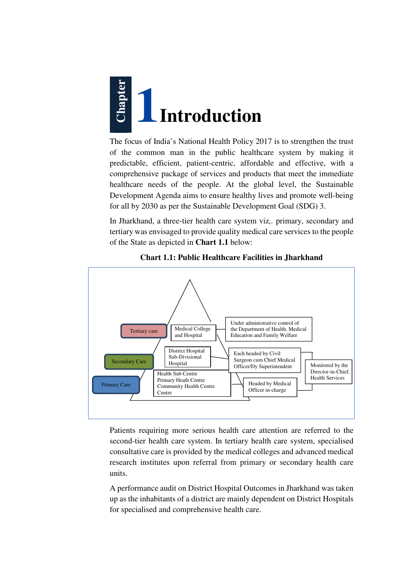

The focus of India's National Health Policy 2017 is to strengthen the trust of the common man in the public healthcare system by making it predictable, efficient, patient-centric, affordable and effective, with a comprehensive package of services and products that meet the immediate healthcare needs of the people. At the global level, the Sustainable Development Agenda aims to ensure healthy lives and promote well-being for all by 2030 as per the Sustainable Development Goal (SDG) 3.

In Jharkhand, a three-tier health care system viz*,.* primary, secondary and tertiary was envisaged to provide quality medical care services to the people of the State as depicted in **Chart 1.1** below:



**Chart 1.1: Public Healthcare Facilities in Jharkhand** 

Patients requiring more serious health care attention are referred to the second-tier health care system. In tertiary health care system, specialised consultative care is provided by the medical colleges and advanced medical research institutes upon referral from primary or secondary health care units.

A performance audit on District Hospital Outcomes in Jharkhand was taken up as the inhabitants of a district are mainly dependent on District Hospitals for specialised and comprehensive health care.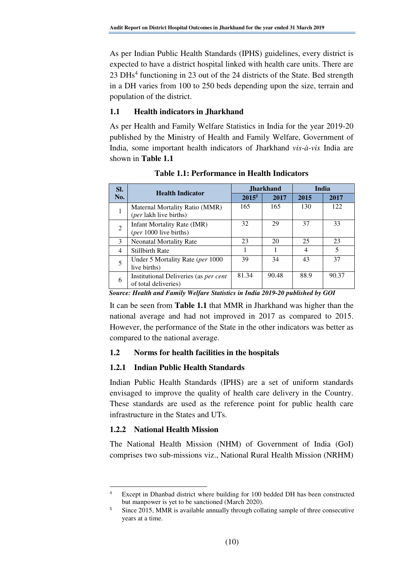As per Indian Public Health Standards (IPHS) guidelines, every district is expected to have a district hospital linked with health care units. There are 23 DHs<sup>4</sup> functioning in 23 out of the 24 districts of the State. Bed strength in a DH varies from 100 to 250 beds depending upon the size, terrain and population of the district.

## **1.1 Health indicators in Jharkhand**

As per Health and Family Welfare Statistics in India for the year 2019-20 published by the Ministry of Health and Family Welfare, Government of India, some important health indicators of Jharkhand *vis-à-vis* India are shown in **Table 1.1**

| SI.            |                                                                      | <b>Jharkhand</b>  |       | <b>India</b> |       |
|----------------|----------------------------------------------------------------------|-------------------|-------|--------------|-------|
| No.            | <b>Health Indicator</b>                                              | 2015 <sup>5</sup> | 2017  | 2015         | 2017  |
|                | Maternal Mortality Ratio (MMR)<br>(per lakh live births)             | 165               | 165   | 130          | 122   |
| $\mathfrak{D}$ | <b>Infant Mortality Rate (IMR)</b><br>(per 1000 live births)         | 32                | 29    | 37           | 33    |
| 3              | <b>Neonatal Mortality Rate</b>                                       | 23                | 20    | 25           | 23    |
| $\overline{4}$ | <b>Stillbirth Rate</b>                                               |                   |       | 4            | 5     |
| 5              | Under 5 Mortality Rate ( <i>per</i> 1000<br>live births)             | 39                | 34    | 43           | 37    |
| 6              | Institutional Deliveries (as <i>per cent</i><br>of total deliveries) | 81.34             | 90.48 | 88.9         | 90.37 |

**Table 1.1: Performance in Health Indicators** 

*Source: Health and Family Welfare Statistics in India 2019-20 published by GOI*

It can be seen from **Table 1.1** that MMR in Jharkhand was higher than the national average and had not improved in 2017 as compared to 2015. However, the performance of the State in the other indicators was better as compared to the national average.

## **1.2 Norms for health facilities in the hospitals**

## **1.2.1 Indian Public Health Standards**

Indian Public Health Standards (IPHS) are a set of uniform standards envisaged to improve the quality of health care delivery in the Country. These standards are used as the reference point for public health care infrastructure in the States and UTs.

## **1.2.2 National Health Mission**

 $\overline{a}$ 

The National Health Mission (NHM) of Government of India (GoI) comprises two sub-missions viz., National Rural Health Mission (NRHM)

<sup>4</sup> Except in Dhanbad district where building for 100 bedded DH has been constructed but manpower is yet to be sanctioned (March 2020).

<sup>5</sup> Since 2015, MMR is available annually through collating sample of three consecutive years at a time.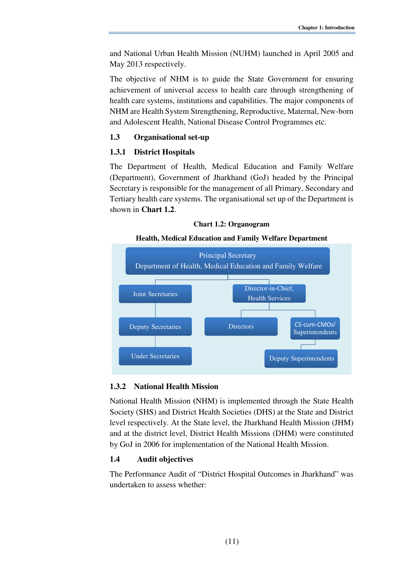and National Urban Health Mission (NUHM) launched in April 2005 and May 2013 respectively.

The objective of NHM is to guide the State Government for ensuring achievement of universal access to health care through strengthening of health care systems, institutions and capabilities. The major components of NHM are Health System Strengthening, Reproductive, Maternal, New-born and Adolescent Health, National Disease Control Programmes etc.

### **1.3 Organisational set-up**

### **1.3.1 District Hospitals**

The Department of Health, Medical Education and Family Welfare (Department), Government of Jharkhand (GoJ) headed by the Principal Secretary is responsible for the management of all Primary, Secondary and Tertiary health care systems. The organisational set up of the Department is shown in **Chart 1.2**.





#### **1.3.2 National Health Mission**

National Health Mission **(**NHM) is implemented through the State Health Society (SHS) and District Health Societies (DHS) at the State and District level respectively. At the State level, the Jharkhand Health Mission (JHM) and at the district level, District Health Missions (DHM) were constituted by GoJ in 2006 for implementation of the National Health Mission.

#### **1.4 Audit objectives**

The Performance Audit of "District Hospital Outcomes in Jharkhand" was undertaken to assess whether: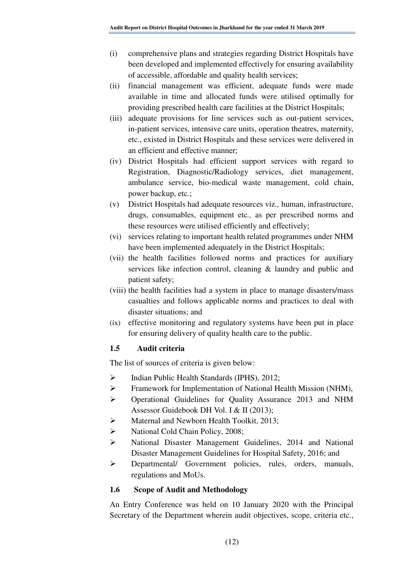- (i) comprehensive plans and strategies regarding District Hospitals have been developed and implemented effectively for ensuring availability of accessible, affordable and quality health services;
- (ii) financial management was efficient, adequate funds were made available in time and allocated funds were utilised optimally for providing prescribed health care facilities at the District Hospitals;
- (iii) adequate provisions for line services such as out-patient services, in-patient services, intensive care units, operation theatres, maternity, etc., existed in District Hospitals and these services were delivered in an efficient and effective manner;
- (iv) District Hospitals had efficient support services with regard to Registration, Diagnostic/Radiology services, diet management, ambulance service, bio-medical waste management, cold chain, power backup, etc*.*;
- (v) District Hospitals had adequate resources viz*.,* human, infrastructure, drugs, consumables, equipment etc*.,* as per prescribed norms and these resources were utilised efficiently and effectively;
- (vi) services relating to important health related programmes under NHM have been implemented adequately in the District Hospitals;
- (vii) the health facilities followed norms and practices for auxiliary services like infection control, cleaning & laundry and public and patient safety;
- (viii) the health facilities had a system in place to manage disasters/mass casualties and follows applicable norms and practices to deal with disaster situations; and
- (ix) effective monitoring and regulatory systems have been put in place for ensuring delivery of quality health care to the public.

## **1.5 Audit criteria**

The list of sources of criteria is given below:

- $\triangleright$  Indian Public Health Standards (IPHS), 2012;
- Framework for Implementation of National Health Mission (NHM),
- Operational Guidelines for Quality Assurance 2013 and NHM Assessor Guidebook DH Vol. I & II (2013);
- Maternal and Newborn Health Toolkit, 2013;
- Subsetequent Cold Chain Policy, 2008;
- National Disaster Management Guidelines, 2014 and National Disaster Management Guidelines for Hospital Safety, 2016; and
- Departmental/ Government policies, rules, orders, manuals, regulations and MoUs.

## **1.6 Scope of Audit and Methodology**

An Entry Conference was held on 10 January 2020 with the Principal Secretary of the Department wherein audit objectives, scope, criteria etc.,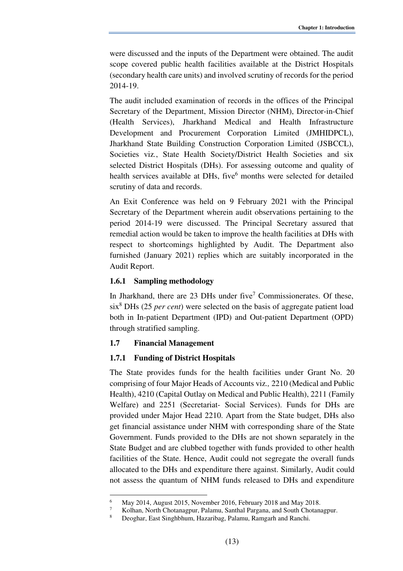were discussed and the inputs of the Department were obtained. The audit scope covered public health facilities available at the District Hospitals (secondary health care units) and involved scrutiny of records for the period 2014-19.

The audit included examination of records in the offices of the Principal Secretary of the Department, Mission Director (NHM), Director-in-Chief (Health Services), Jharkhand Medical and Health Infrastructure Development and Procurement Corporation Limited (JMHIDPCL), Jharkhand State Building Construction Corporation Limited (JSBCCL), Societies viz*.*, State Health Society/District Health Societies and six selected District Hospitals (DHs). For assessing outcome and quality of health services available at DHs, five<sup>6</sup> months were selected for detailed scrutiny of data and records.

An Exit Conference was held on 9 February 2021 with the Principal Secretary of the Department wherein audit observations pertaining to the period 2014-19 were discussed. The Principal Secretary assured that remedial action would be taken to improve the health facilities at DHs with respect to shortcomings highlighted by Audit. The Department also furnished (January 2021) replies which are suitably incorporated in the Audit Report.

#### **1.6.1 Sampling methodology**

In Jharkhand, there are  $23$  DHs under five<sup>7</sup> Commissionerates. Of these, six<sup>8</sup> DHs (25 *per cent*) were selected on the basis of aggregate patient load both in In-patient Department (IPD) and Out-patient Department (OPD) through stratified sampling.

#### **1.7 Financial Management**

l

## **1.7.1 Funding of District Hospitals**

The State provides funds for the health facilities under Grant No. 20 comprising of four Major Heads of Accounts viz*.,* 2210 (Medical and Public Health), 4210 (Capital Outlay on Medical and Public Health), 2211 (Family Welfare) and 2251 (Secretariat- Social Services). Funds for DHs are provided under Major Head 2210. Apart from the State budget, DHs also get financial assistance under NHM with corresponding share of the State Government. Funds provided to the DHs are not shown separately in the State Budget and are clubbed together with funds provided to other health facilities of the State. Hence, Audit could not segregate the overall funds allocated to the DHs and expenditure there against. Similarly, Audit could not assess the quantum of NHM funds released to DHs and expenditure

<sup>6</sup> May 2014, August 2015, November 2016, February 2018 and May 2018.

<sup>7</sup> Kolhan, North Chotanagpur, Palamu, Santhal Pargana, and South Chotanagpur.

<sup>8</sup> Deoghar, East Singhbhum, Hazaribag, Palamu, Ramgarh and Ranchi.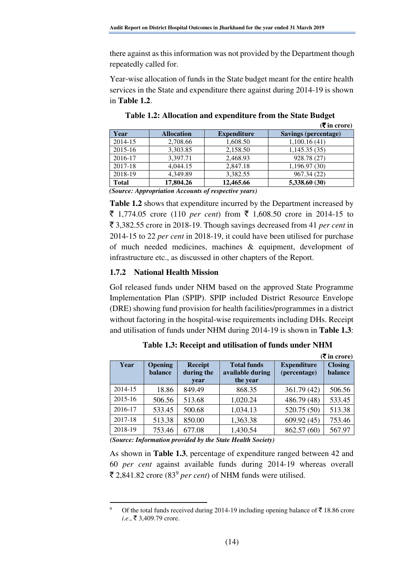there against as this information was not provided by the Department though repeatedly called for.

Year-wise allocation of funds in the State budget meant for the entire health services in the State and expenditure there against during 2014-19 is shown in **Table 1.2**.

|              |                   |                    | $(\overline{\mathbf{\mathcal{F}}}$ in crore) |
|--------------|-------------------|--------------------|----------------------------------------------|
| Year         | <b>Allocation</b> | <b>Expenditure</b> | <b>Savings (percentage)</b>                  |
| 2014-15      | 2,708.66          | 1,608.50           | 1,100.16(41)                                 |
| 2015-16      | 3,303.85          | 2,158.50           | 1,145.35(35)                                 |
| 2016-17      | 3,397.71          | 2,468.93           | 928.78 (27)                                  |
| 2017-18      | 4,044.15          | 2,847.18           | 1,196.97 (30)                                |
| 2018-19      | 4,349.89          | 3,382.55           | 967.34 (22)                                  |
| <b>Total</b> | 17,804.26         | 12,465.66          | 5,338.60 (30)                                |
| $\sqrt{N}$   | $\sim$            | $\mathbf{r}$       |                                              |

**Table 1.2: Allocation and expenditure from the State Budget** 

*(Source: Appropriation Accounts of respective years)*

**Table 1.2** shows that expenditure incurred by the Department increased by ₹ 1,774.05 crore (110 *per cent*) from ₹ 1,608.50 crore in 2014-15 to ` 3,382.55 crore in 2018-19. Though savings decreased from 41 *per cent* in 2014-15 to 22 *per cent* in 2018-19, it could have been utilised for purchase of much needed medicines, machines & equipment, development of infrastructure etc., as discussed in other chapters of the Report.

## **1.7.2 National Health Mission**

GoI released funds under NHM based on the approved State Programme Implementation Plan (SPIP). SPIP included District Resource Envelope (DRE) showing fund provision for health facilities/programmes in a district without factoring in the hospital-wise requirements including DHs. Receipt and utilisation of funds under NHM during 2014-19 is shown in **Table 1.3**:

|             |                           |                                      |                                                    |                                    | ( <b>₹</b> in crore)      |
|-------------|---------------------------|--------------------------------------|----------------------------------------------------|------------------------------------|---------------------------|
| <b>Year</b> | Opening<br><b>balance</b> | <b>Receipt</b><br>during the<br>vear | <b>Total funds</b><br>available during<br>the year | <b>Expenditure</b><br>(percentage) | <b>Closing</b><br>balance |
| 2014-15     | 18.86                     | 849.49                               | 868.35                                             | 361.79 (42)                        | 506.56                    |
| 2015-16     | 506.56                    | 513.68                               | 1,020.24                                           | 486.79 (48)                        | 533.45                    |
| 2016-17     | 533.45                    | 500.68                               | 1,034.13                                           | 520.75 (50)                        | 513.38                    |
| 2017-18     | 513.38                    | 850.00                               | 1,363.38                                           | 609.92(45)                         | 753.46                    |
| 2018-19     | 753.46                    | 677.08                               | 1,430.54                                           | 862.57 (60)                        | 567.97                    |

**Table 1.3: Receipt and utilisation of funds under NHM** 

*(Source: Information provided by the State Health Society)*

 $\overline{a}$ 

As shown in **Table 1.3**, percentage of expenditure ranged between 42 and 60 *per cent* against available funds during 2014-19 whereas overall  $\bar{\mathcal{F}}$  2,841.82 crore (83<sup>9</sup> *per cent*) of NHM funds were utilised.

Of the total funds received during 2014-19 including opening balance of  $\bar{\bar{\mathcal{J}}}$  18.86 crore *i.e.*, ₹ 3,409.79 crore.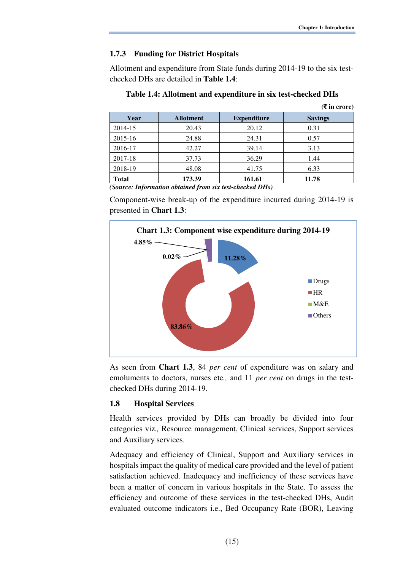$(\mathbf{F}$  in crore)

### **1.7.3 Funding for District Hospitals**

Allotment and expenditure from State funds during 2014-19 to the six testchecked DHs are detailed in **Table 1.4**:

| Year                                                       | <b>Allotment</b> | <b>Expenditure</b> | <b>Savings</b> |  |
|------------------------------------------------------------|------------------|--------------------|----------------|--|
| 2014-15                                                    | 20.43            | 20.12              | 0.31           |  |
| 2015-16                                                    | 24.88            | 24.31              | 0.57           |  |
| 2016-17                                                    | 42.27            | 39.14              | 3.13           |  |
| 2017-18                                                    | 37.73            | 36.29              | 1.44           |  |
| 2018-19                                                    | 48.08            | 41.75              | 6.33           |  |
| <b>Total</b>                                               | 173.39           | 161.61             | 11.78          |  |
| (Corneon Information obtained from ain toot cheesked DIIs) |                  |                    |                |  |

*(Source: Information obtained from six test-checked DHs)* 

Component-wise break-up of the expenditure incurred during 2014-19 is presented in **Chart 1.3**:



As seen from **Chart 1.3**, 84 *per cent* of expenditure was on salary and emoluments to doctors, nurses etc*.,* and 11 *per cent* on drugs in the testchecked DHs during 2014-19.

#### **1.8 Hospital Services**

Health services provided by DHs can broadly be divided into four categories viz*.,* Resource management, Clinical services, Support services and Auxiliary services.

Adequacy and efficiency of Clinical, Support and Auxiliary services in hospitals impact the quality of medical care provided and the level of patient satisfaction achieved. Inadequacy and inefficiency of these services have been a matter of concern in various hospitals in the State. To assess the efficiency and outcome of these services in the test-checked DHs, Audit evaluated outcome indicators i.e., Bed Occupancy Rate (BOR), Leaving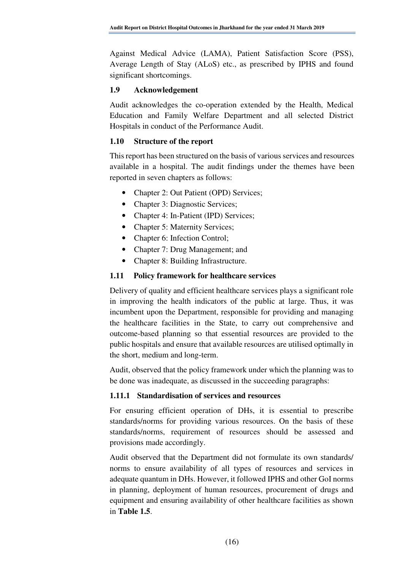Against Medical Advice (LAMA), Patient Satisfaction Score (PSS), Average Length of Stay (ALoS) etc., as prescribed by IPHS and found significant shortcomings.

#### **1.9 Acknowledgement**

Audit acknowledges the co-operation extended by the Health, Medical Education and Family Welfare Department and all selected District Hospitals in conduct of the Performance Audit.

### **1.10 Structure of the report**

This report has been structured on the basis of various services and resources available in a hospital. The audit findings under the themes have been reported in seven chapters as follows:

- Chapter 2: Out Patient (OPD) Services;
- Chapter 3: Diagnostic Services;
- Chapter 4: In-Patient (IPD) Services;
- Chapter 5: Maternity Services:
- Chapter 6: Infection Control;
- Chapter 7: Drug Management; and
- Chapter 8: Building Infrastructure.

## **1.11 Policy framework for healthcare services**

Delivery of quality and efficient healthcare services plays a significant role in improving the health indicators of the public at large. Thus, it was incumbent upon the Department, responsible for providing and managing the healthcare facilities in the State, to carry out comprehensive and outcome-based planning so that essential resources are provided to the public hospitals and ensure that available resources are utilised optimally in the short, medium and long-term.

Audit, observed that the policy framework under which the planning was to be done was inadequate, as discussed in the succeeding paragraphs:

#### **1.11.1 Standardisation of services and resources**

For ensuring efficient operation of DHs, it is essential to prescribe standards/norms for providing various resources. On the basis of these standards/norms, requirement of resources should be assessed and provisions made accordingly.

Audit observed that the Department did not formulate its own standards/ norms to ensure availability of all types of resources and services in adequate quantum in DHs. However, it followed IPHS and other GoI norms in planning, deployment of human resources, procurement of drugs and equipment and ensuring availability of other healthcare facilities as shown in **Table 1.5**.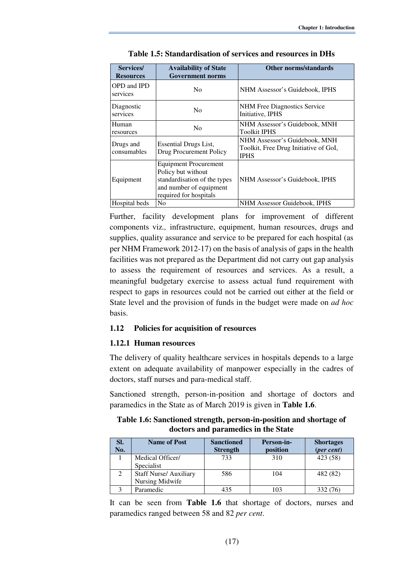| Services/<br><b>Resources</b>         | <b>Availability of State</b><br><b>Government norms</b>                                                                                 | <b>Other norms/standards</b>                                                          |
|---------------------------------------|-----------------------------------------------------------------------------------------------------------------------------------------|---------------------------------------------------------------------------------------|
| <b>OPD</b> and <b>IPD</b><br>services | N <sub>0</sub>                                                                                                                          | NHM Assessor's Guidebook, IPHS                                                        |
| Diagnostic<br>services                | N <sub>0</sub>                                                                                                                          | NHM Free Diagnostics Service<br>Initiative, IPHS                                      |
| Human<br>resources                    | N <sub>0</sub>                                                                                                                          | NHM Assessor's Guidebook, MNH<br><b>Toolkit IPHS</b>                                  |
| Drugs and<br>consumables              | Essential Drugs List,<br>Drug Procurement Policy                                                                                        | NHM Assessor's Guidebook, MNH<br>Toolkit, Free Drug Initiative of GoI,<br><b>IPHS</b> |
| Equipment                             | <b>Equipment Procurement</b><br>Policy but without<br>standardisation of the types<br>and number of equipment<br>required for hospitals | NHM Assessor's Guidebook, IPHS                                                        |
| Hospital beds                         | N <sub>o</sub>                                                                                                                          | NHM Assessor Guidebook, IPHS                                                          |

**Table 1.5: Standardisation of services and resources in DHs** 

Further, facility development plans for improvement of different components viz*.,* infrastructure, equipment, human resources, drugs and supplies, quality assurance and service to be prepared for each hospital (as per NHM Framework 2012-17) on the basis of analysis of gaps in the health facilities was not prepared as the Department did not carry out gap analysis to assess the requirement of resources and services. As a result, a meaningful budgetary exercise to assess actual fund requirement with respect to gaps in resources could not be carried out either at the field or State level and the provision of funds in the budget were made on *ad hoc*  basis.

#### **1.12 Policies for acquisition of resources**

#### **1.12.1 Human resources**

The delivery of quality healthcare services in hospitals depends to a large extent on adequate availability of manpower especially in the cadres of doctors, staff nurses and para-medical staff.

Sanctioned strength, person-in-position and shortage of doctors and paramedics in the State as of March 2019 is given in **Table 1.6**.

| Table 1.6: Sanctioned strength, person-in-position and shortage of |
|--------------------------------------------------------------------|
| doctors and paramedics in the State                                |

| SI.<br>No. | <b>Name of Post</b>           | <b>Sanctioned</b><br><b>Strength</b> | Person-in-<br>position | <b>Shortages</b><br>(per cent) |
|------------|-------------------------------|--------------------------------------|------------------------|--------------------------------|
|            | Medical Officer/              | 733                                  | 310                    | 423 (58)                       |
|            | Specialist                    |                                      |                        |                                |
|            | <b>Staff Nurse/ Auxiliary</b> | 586                                  | 104                    | 482 (82)                       |
|            | Nursing Midwife               |                                      |                        |                                |
|            | Paramedic                     | 435                                  |                        | 332 (76)                       |

It can be seen from **Table 1.6** that shortage of doctors, nurses and paramedics ranged between 58 and 82 *per cent*.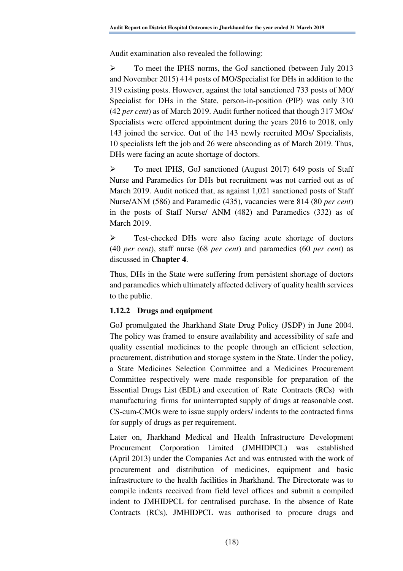Audit examination also revealed the following:

 To meet the IPHS norms, the GoJ sanctioned (between July 2013 and November 2015) 414 posts of MO/Specialist for DHs in addition to the 319 existing posts. However, against the total sanctioned 733 posts of MO/ Specialist for DHs in the State, person-in-position (PIP) was only 310 (42 *per cent*) as of March 2019. Audit further noticed that though 317 MOs/ Specialists were offered appointment during the years 2016 to 2018, only 143 joined the service. Out of the 143 newly recruited MOs/ Specialists, 10 specialists left the job and 26 were absconding as of March 2019. Thus, DHs were facing an acute shortage of doctors.

 To meet IPHS, GoJ sanctioned (August 2017) 649 posts of Staff Nurse and Paramedics for DHs but recruitment was not carried out as of March 2019. Audit noticed that, as against 1,021 sanctioned posts of Staff Nurse/ANM (586) and Paramedic (435), vacancies were 814 (80 *per cent*) in the posts of Staff Nurse/ ANM (482) and Paramedics (332) as of March 2019.

 Test-checked DHs were also facing acute shortage of doctors (40 *per cent*), staff nurse (68 *per cent*) and paramedics (60 *per cent*) as discussed in **Chapter 4**.

Thus, DHs in the State were suffering from persistent shortage of doctors and paramedics which ultimately affected delivery of quality health services to the public.

# **1.12.2 Drugs and equipment**

GoJ promulgated the Jharkhand State Drug Policy (JSDP) in June 2004. The policy was framed to ensure availability and accessibility of safe and quality essential medicines to the people through an efficient selection, procurement, distribution and storage system in the State. Under the policy, a State Medicines Selection Committee and a Medicines Procurement Committee respectively were made responsible for preparation of the Essential Drugs List (EDL) and execution of Rate Contracts (RCs) with manufacturing firms for uninterrupted supply of drugs at reasonable cost. CS-cum-CMOs were to issue supply orders/ indents to the contracted firms for supply of drugs as per requirement.

Later on, Jharkhand Medical and Health Infrastructure Development Procurement Corporation Limited (JMHIDPCL) was established (April 2013) under the Companies Act and was entrusted with the work of procurement and distribution of medicines, equipment and basic infrastructure to the health facilities in Jharkhand. The Directorate was to compile indents received from field level offices and submit a compiled indent to JMHIDPCL for centralised purchase. In the absence of Rate Contracts (RCs), JMHIDPCL was authorised to procure drugs and